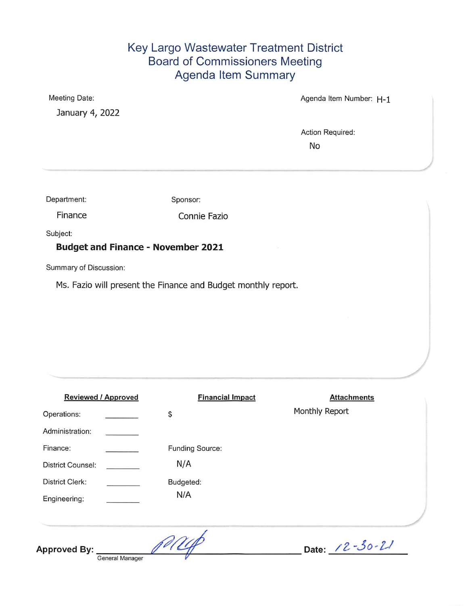### Key Largo Wastewater Treatment District **Board of Commissioners Meeting** Agenda Item Summary

Meeting Date:

January 4, 2022

Agenda Item Number: H-1

Action Required:

**No** 

Department:

Sponsor:

Finance

Connie Fazio

Subject:

#### **Budget and Finance - November 2021**

Summary of Discussion:

Ms. Fazio will present the Finance and Budget monthly report.

| <b>Reviewed / Approved</b> |                 | <b>Financial Impact</b> | <b>Attachments</b> |
|----------------------------|-----------------|-------------------------|--------------------|
| Operations:                |                 | \$                      | Monthly Report     |
| Administration:            |                 |                         |                    |
| Finance:                   |                 | Funding Source:         |                    |
| <b>District Counsel:</b>   |                 | N/A                     |                    |
| <b>District Clerk:</b>     |                 | Budgeted:               |                    |
| Engineering:               |                 | N/A                     |                    |
|                            |                 |                         |                    |
| <b>Approved By:</b>        | General Manager |                         | Date: 12-30-21     |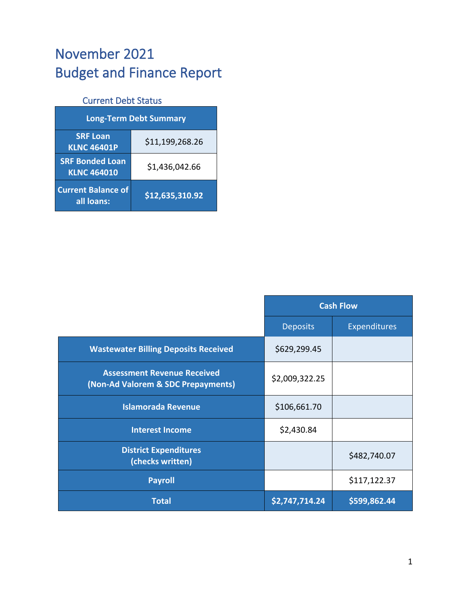# November 2021 Budget and Finance Report

## Current Debt Status

| <b>Long-Term Debt Summary</b>                |                 |  |  |  |  |
|----------------------------------------------|-----------------|--|--|--|--|
| <b>SRF Loan</b><br><b>KLNC 46401P</b>        | \$11,199,268.26 |  |  |  |  |
| <b>SRF Bonded Loan</b><br><b>KLNC 464010</b> | \$1,436,042.66  |  |  |  |  |
| <b>Current Balance of</b><br>all loans:      | \$12,635,310.92 |  |  |  |  |

|                                                                          | <b>Cash Flow</b> |                     |
|--------------------------------------------------------------------------|------------------|---------------------|
|                                                                          | <b>Deposits</b>  | <b>Expenditures</b> |
| <b>Wastewater Billing Deposits Received</b>                              | \$629,299.45     |                     |
| <b>Assessment Revenue Received</b><br>(Non-Ad Valorem & SDC Prepayments) | \$2,009,322.25   |                     |
| <b>Islamorada Revenue</b>                                                | \$106,661.70     |                     |
| <b>Interest Income</b>                                                   | \$2,430.84       |                     |
| <b>District Expenditures</b><br>(checks written)                         |                  | \$482,740.07        |
| <b>Payroll</b>                                                           |                  | \$117,122.37        |
| <b>Total</b>                                                             | \$2,747,714.24   | \$599,862.44        |